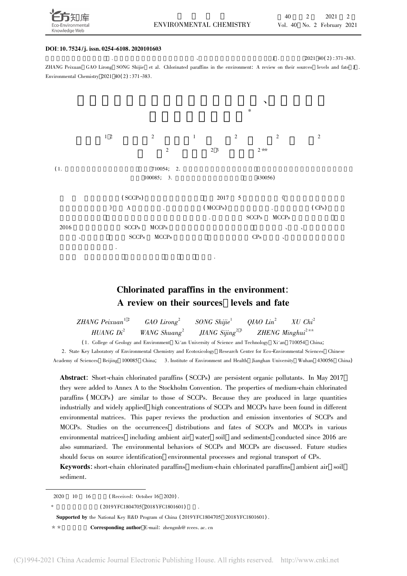

### DOI: 10. 7524 /j. issn. 0254-6108. 2020101603

 $\text{J}$  .  $2021 \ 40(2) \cdot 371 - 383$ . ZHANG Peixuan GAO Lirong SONG Shijie et al. Chlorinated paraffins in the environment: <sup>A</sup> review on their sources levels and fate <sup>J</sup> . Environmental Chemistry <sup>2021</sup> <sup>40</sup>( <sup>2</sup>) : 371-383.



### Chlorinated paraffins in the environment: A review on their sources levels and fate

| <i>ZHANG</i> $Peixuan1-2$ | $GAO\,Lirong^2$          | SONG Shijie <sup>1</sup>    | $QIAO$ $Lin^2$ | $XU\ Chi^2$                  |
|---------------------------|--------------------------|-----------------------------|----------------|------------------------------|
| HUANG $Di^2$              | WANG Shuang <sup>2</sup> | JIANG Sijing <sup>2 3</sup> |                | ZHENG Minghui <sup>2**</sup> |

( 1. College of Geology and Environment Xi'an University of Science and Technology Xi'an <sup>710054</sup> China;

2. State Key Laboratory of Environmental Chemistry and Ecotoxicology Research Center for Eco-Environmental Sciences Chinese Academy of Sciences Beijing <sup>100085</sup> China; 3. Institute of Environment and Health Jianghan University Wuhan <sup>430056</sup> China)

Abstract: Short-chain chlorinated paraffins ( SCCPs) are persistent organic pollutants. In May <sup>2017</sup> they were added to Annex A to the Stockholm Convention. The properties of medium-chain chlorinated paraffins (MCCPs) are similar to those of SCCPs. Because they are produced in large quantities industrially and widely applied high concentrations of SCCPs and MCCPs have been found in different environmental matrices. This paper reviews the production and emission inventories of SCCPs and MCCPs. Studies on the occurrences distributions and fates of SCCPs and MCCPs in various environmental matrices including ambient air water soil and sediments conducted since 2016 are also summarized. The environmental behaviors of SCCPs and MCCPs are discussed. Future studies should focus on source identification environmental processes and regional transport of CPs.

Keywords: short-chain chlorinated paraffins medium-chain chlorinated paraffins ambient air soil sediment.

2020 $10 \t 16$  (Received: October 16 2020).

\*

( 2019YFC1804705 2018YFC1801601)

Supported by the National Key R&D Program of China ( 2019YFC1804705 2018YFC1801601) .

\* \* Corresponding author E-mail: zhengmh@ rcees. ac. cn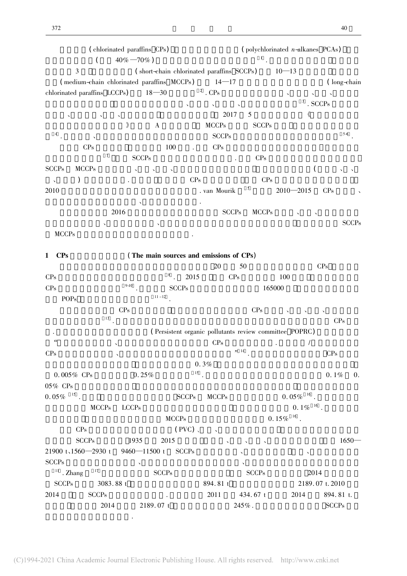|                                    | (chlorinated paraffins CPs)                |                                           |                |                  |               | $\left($ polychlorinated <i>n</i> -alkanes PCAs)       |                             |
|------------------------------------|--------------------------------------------|-------------------------------------------|----------------|------------------|---------------|--------------------------------------------------------|-----------------------------|
|                                    | $40\% - 70\%$ )<br>$\left($                |                                           |                |                  |               |                                                        |                             |
| 3                                  |                                            | (short-chain chlorinated paraffins SCCPs) |                |                  |               | $10 - 13$                                              |                             |
|                                    | (medium-chain chlorinated paraffins MCCPs) |                                           |                | $14 - 17$        |               |                                                        | (long-chain                 |
| chlorinated paraffins LCCPs)       |                                            | $18 - 30$                                 |                | $^{\rm 2}$ . CPs |               |                                                        |                             |
|                                    |                                            |                                           |                |                  |               | 3                                                      | . SCCPs                     |
|                                    |                                            |                                           |                | 2017             | 5             | 《                                                      |                             |
|                                    | $\rangle\!\!\!\rangle$                     | $\mathbf{A}$                              |                | <b>MCCPs</b>     | <b>SCCPs</b>  |                                                        |                             |
| $\overline{4}$                     |                                            |                                           |                | <b>SCCPs</b>     |               |                                                        | $5-6$                       |
| CPs                                |                                            | 100                                       |                | $\rm CPs$        |               |                                                        |                             |
|                                    | $\tau$<br><b>SCCPs</b>                     |                                           |                |                  | CPs           |                                                        |                             |
| <b>SCCPs</b><br><b>MCCPs</b>       |                                            |                                           |                |                  |               |                                                        |                             |
|                                    |                                            |                                           | $\mathrm{CPs}$ |                  | CPs           |                                                        |                             |
| 2010                               |                                            |                                           |                | . van Mourik     | 5             | $2010 - 2015$                                          | CPs                         |
|                                    |                                            |                                           |                |                  |               |                                                        |                             |
|                                    | 2016                                       |                                           |                | <b>SCCPs</b>     | <b>MCCPs</b>  |                                                        |                             |
|                                    |                                            |                                           |                |                  |               |                                                        |                             |
|                                    |                                            |                                           |                |                  |               |                                                        | <b>SCCPs</b>                |
| <b>MCCPs</b>                       |                                            |                                           |                |                  |               |                                                        |                             |
|                                    |                                            |                                           |                |                  |               |                                                        |                             |
| <b>CPs</b><br>1                    |                                            | (The main sources and emissions of CPs)   |                |                  |               |                                                        |                             |
|                                    |                                            |                                           |                | 20               | 50            |                                                        | CPs                         |
| CPs                                | $9 - 10$                                   | $^8$ .                                    | 2015           |                  | CPs           | 100                                                    |                             |
| CPs                                |                                            | $11 - 12$                                 | <b>SCCPs</b>   |                  |               | 165000                                                 |                             |
| POPs                               |                                            |                                           |                |                  |               |                                                        |                             |
|                                    | CPs                                        |                                           |                |                  | CPs           |                                                        |                             |
|                                    | 13                                         |                                           |                |                  |               |                                                        | $\mathrm{CPs}$              |
|                                    |                                            |                                           |                |                  |               | (Persistent organic pollutants review committee POPRC) |                             |
| "                                  |                                            |                                           |                | CPs              |               | 1                                                      |                             |
| CPs                                | $\Delta$                                   |                                           |                |                  | $\frac{1}{4}$ |                                                        | $\rm CPs$                   |
|                                    |                                            |                                           |                | 0.3%             |               |                                                        |                             |
| $0.005\%$ CPs                      | 0.25%                                      |                                           | $15$ .         |                  |               |                                                        | $0.1\%$<br>$\overline{0}$ . |
| 05% CPs                            |                                            |                                           |                |                  |               |                                                        |                             |
| $0.05\%$ $^{-15}$ .                |                                            |                                           | <b>SCCPs</b>   | <b>MCCPs</b>     |               | $0.05\%$ <sup>16</sup> .                               |                             |
|                                    | <b>MCCPs</b><br><b>LCCPs</b>               |                                           |                |                  |               | $0.1\%$ <sup>16</sup> .                                |                             |
|                                    |                                            | <b>MCCPs</b>                              |                |                  |               | $0.\,15\%$ $^{-16}$ .                                  |                             |
| $\rm CPs$                          |                                            |                                           | (PVC)          |                  |               |                                                        |                             |
| <b>SCCPs</b>                       | 1935                                       | 2015                                      |                |                  |               |                                                        | $1650-$                     |
| $21900$ t <sub>1</sub> 1560-2930 t |                                            | $9460 - 11500$ t                          | SCCPs          |                  |               | $\tilde{\phantom{a}}$                                  |                             |
| <b>SCCPs</b>                       | $\boldsymbol{\checkmark}$                  |                                           |                |                  |               |                                                        |                             |
| $17\phantom{.0}$<br>$11$ . Zhang   |                                            | <b>SCCPs</b>                              |                |                  | <b>SCCPs</b>  |                                                        | 2014                        |
| <b>SCCPs</b>                       | 3083.88 t                                  |                                           |                | 894.81 t         |               |                                                        | 2189.07 t.2010              |
| 2014                               | <b>SCCPs</b>                               |                                           |                | 2011             | 434.67 t      | 2014                                                   | 894.81 t.                   |
|                                    | 2014                                       | 2189.07 t                                 |                |                  | $245\%$ .     |                                                        | <b>SCCPs</b>                |
|                                    |                                            |                                           |                |                  |               |                                                        |                             |

主要集中在东部较发达地区.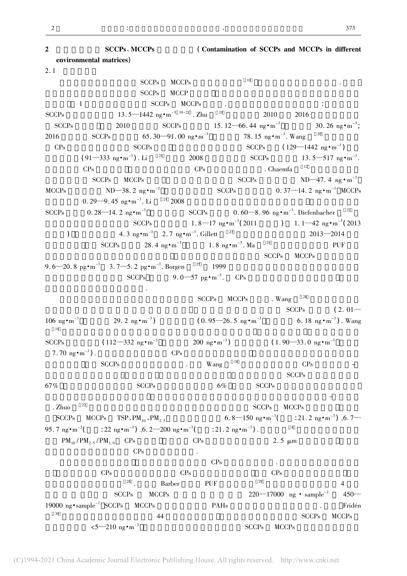2 SCCPs, MCCPs (Contamination of SCCPs and MCCPs in different environmental matrices) 2. <sup>1</sup> 大气和灰尘  $SCCPs$   $MCCPs$   $18$  $SCCPs$  MCCP the SCCPs MCCPs of the SCCPs of the SCCPs of the SCCPs of the SCCPs of the SCCPs of the SCCPs of the SCCPs of the SCCPs of the SCCPs of the SCCPs of the SCCPs of the SCCPs of the SCCPs of the SCCPs of the SCCPs of the SCCP SCCPs $13.5 - 1442 \text{ ng} \cdot \text{m}^{-3}$   $^{19-21}$  . Zhu  $^{19}$  2010  $^{2016}$ SCCPs $2010$   $SCCPs$   $15. 12-66. 44$  ng·m<sup>-3</sup> 30.26 ng $\cdot$ m<sup>-3</sup>; 2016 $SCCPs$  65. 30—91. 00 ng·m<sup>-3</sup> . Wang  $^{20}$ CPs $SCCPs$   $SCCPs$   $(129-1442 \text{ ng} \cdot \text{m}^{-3})$  $(91 - 333 \text{ ng} \cdot \text{m}^{-3})$ . Li ) . Li  $^{21}$  2008 SCCPs 13. 5—517 ng·m<sup>-3</sup>.  $\text{CPs}$  CPs chaemfa  $^{12}$  $SCCPs$   $MCCPs$   $ND-47.4$  ng·m<sup>-3</sup> MCCPs $ND-38.2$  ng·m<sup>-3</sup>  $SCCPs$   $0.37-14.2$  ng·m<sup>-3</sup> MCCPs  $0.29 - 9.45 \text{ ng} \cdot \text{m}^{-3}$ . Li  $2008$ SCCPs $0.28 - 14.2$  ng $\cdot$ m<sup>-3</sup> SCCPs . Diefenbacher  $22$  $SCCPs$  1. 8—17 ng·m<sup>-3</sup>(2011)  $(2011)$  1. 1—42 ng·m<sup>-3</sup> $(2013)$  $(4.3 \text{ ng} \cdot \text{m}^{-3} \quad 2.7 \text{ ng} \cdot \text{m}^{-3}).$  $2013 - 2014$ (a)  $4.3 \text{ ng} \cdot \text{m}^{-3}$   $2.7 \text{ ng}$ <br>SCCPs  $28.4 \text{ ng} \cdot \text{m}^{-3}$ 1.8  $ng \cdot m^{-3}$ . Ma . Ma  $^{24}$  PUF  $SCCPs$  MCCPs 9.6—20.8 pg $\cdot$ m<sup>-3</sup> 3.7—5.2 pg $\cdot$ m<sup>-3</sup>.  $B{\rm\,}$  Borgen  $25$  1999  $SCCPs$  9. 0—57 pg·m<sup>-3</sup>.  $CPs$  $\mathcal{L}_{\mathcal{A}}$  $SCCPs$  MCCPs . Wang  $^{26}$  $\overline{\text{SCCPs}}$  ( 2. 01—  $106 \text{ ng} \cdot \text{m}^{-3}$  $29.2 \text{ ng} \cdot \text{m}^{-3}$  $SCCPs$  ( 0. 95—26. 5 ng·m<sup>-3</sup> 6. 18 ng·m<sup>-3</sup>). Wang 6. 18  $ng \cdot m^{-3}$ ). Wang 18 $\mathcal{N}$ SCCPs $(112-332 \text{ ng} \cdot \text{m}^{-3}$  200 ng·m<sup>-3</sup>)  $(1.90-33.0 \text{ ng} \cdot \text{m}^{-3})$ 7.70  $n_{\rm F} \cdot m^{-3}$ ) .  $CPs$  $SCCPs$   $Nang$   $18$   $CPs$   $SCCPs$ 67% $\%$  SCCPs 6% SCCPs 6% SCCPs 200 $\%$ 而在冬季则倾向于与颗粒相结合 表现出与其他半挥发性有机化合物类似的温度依赖性气-固分配特 . Zhuo  $\text{C}$ zhuo  $^{27}$  SCCPs  $\text{MCCP}_\text{S}$ SCCPs $MCCPs$  TSP、PM<sub>10</sub>、PM<sub>2.5</sub> 6. 8—150 ng·m<sup>-3</sup>(  $($  : 21. 2 ng • m<sup>-3</sup>)  $\sqrt{6}$ . 7 95. 7 ng $\cdot$ m<sup>-3</sup>  $($  : 22 ng • m<sup>-3</sup>)  $\sqrt{6}$ . 2–200 ng • m<sup>-3</sup>  $: 21.2 \text{ ng} \cdot \text{m}^{-3}$ . ) .  $8$  $PM_{10} / PM_{2.5} / PM_{1.0}$  CPs CPs 2. 5  $\mu$ m  $CPs$  .  $CPs$   $CPs$  $CPs$   $CPs$   $CPs$  $\frac{28}{\pi}$  . Barber PUF  $\frac{29}{\pi}$  4  $SCCPs$   $MCCPs$   $220-17000$  ng  $\cdot$  sample<sup>-1</sup>  $450-$ 19000 ng•sample<sup>-1</sup> SCCPs MCCPs PAHs PAHs . Fridén  $\overline{20}$  $\frac{1}{20}$   $\frac{1}{24}$   $\frac{44}{25}$   $\frac{1}{20}$   $\frac{1}{20}$   $\frac{1}{20}$   $\frac{1}{20}$   $\frac{1}{20}$   $\frac{1}{20}$   $\frac{1}{20}$   $\frac{1}{20}$   $\frac{1}{20}$   $\frac{1}{20}$   $\frac{1}{20}$   $\frac{1}{20}$   $\frac{1}{20}$   $\frac{1}{20}$   $\frac{1}{20}$   $\frac{1}{20}$   $\frac{1}{20}$   $\leq 5-210 \text{ ng} \cdot \text{m}^{-3}$  SCCPs MCCPs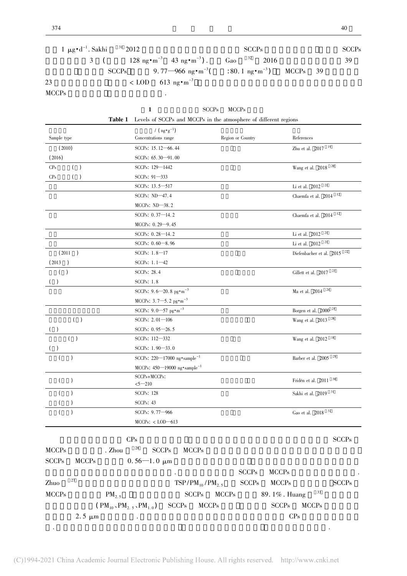.

|              | $1 \mu g \cdot d^{-1}$ . Sakhi $31 \ 2012$ |                                                                                               | SCCP <sub>s</sub> | <b>SCCPs</b> |
|--------------|--------------------------------------------|-----------------------------------------------------------------------------------------------|-------------------|--------------|
|              |                                            | 3 ( $128 \text{ ng} \cdot \text{m}^{-3}$ 43 $\text{ ng} \cdot \text{m}^{-3}$ ). Gao $32$ 2016 |                   | 39           |
|              |                                            | SCCPs 9.77-966 ng $\cdot$ m <sup>-3</sup> ( : 80.1 ng $\cdot$ m <sup>-3</sup> ) MCCPs 39      |                   |              |
| 23           |                                            | $\langle$ LOD 613 ng $\cdot$ m <sup>-3</sup>                                                  |                   |              |
| <b>MCCPs</b> |                                            | $\bullet$                                                                                     |                   |              |

| <b>SCCPs</b> | <b>MCCPs</b> |
|--------------|--------------|

|                              | <b>Table 1</b> Levels of SCCPs and MCCPs in the atmosphere of different regions |                                                         |                                    |
|------------------------------|---------------------------------------------------------------------------------|---------------------------------------------------------|------------------------------------|
|                              | / $(\text{ng} \cdot \text{g}^{-1})$                                             |                                                         |                                    |
| Sample type                  | Concentrations range                                                            | Region or Country                                       | References                         |
| (2010)                       | SCCPs: 15.12-66.44                                                              |                                                         | Zhu et al. $\,$ 2017 $^{-19}$      |
| (2016)                       | SCCPs: 65.30-91.00                                                              |                                                         |                                    |
| $($ )<br>CP <sub>s</sub>     | SCCPs: 129-1442                                                                 |                                                         | Wang et al. $2018$ $^{20}$         |
| CP <sub>s</sub><br>$($ )     | SCCPs: 91-333                                                                   |                                                         |                                    |
|                              | SCCPs: 13.5-517                                                                 |                                                         | Li et al. 2012 $\,$ $^{21}$        |
|                              | SCCPs: $ND-47.4$                                                                |                                                         | Chaemfa et al. 2014 $^{\, -12}$    |
|                              | $MCCPs$ : $ND-38.2$                                                             |                                                         |                                    |
|                              | SCCPs: $0.37 - 14.2$                                                            |                                                         | Chaemfa et al. 2014 $^{\, -12}$    |
|                              | MCCPs: 0.29-9.45                                                                |                                                         |                                    |
|                              | SCCPs: 0.28-14.2                                                                |                                                         | Li et al. 2012 $^{\,$ 21 $\,$      |
|                              | SCCPs: 0.60-8.96                                                                |                                                         | Li et al. 2012 <sup>21</sup>       |
| (2011)<br>$\rightarrow$      | SCCPs: $1.8 - 17$                                                               |                                                         | Diefenbacher et al. 2015 $^{\,22}$ |
| (2013)                       | SCCPs: $1.1 - 42$                                                               |                                                         |                                    |
| $\left($<br>$\lambda$        | SCCPs: 28.4                                                                     |                                                         | Gillett et al. $2017$ $33$         |
| $($ )                        | <b>SCCPs: 1.8</b>                                                               |                                                         |                                    |
|                              | SCCPs: $9.6 - 20.8$ pg $\cdot$ m <sup>-3</sup>                                  |                                                         | Ma et al. 2014 $^{\,24}$           |
|                              | MCCPs: $3.7 - 5.2$ pg $\cdot$ m <sup>-3</sup>                                   |                                                         |                                    |
|                              | SCCPs: $9.0 - 57$ pg $\cdot$ m <sup>-3</sup>                                    |                                                         | Borgen et al. 2000 $^{\,25}$       |
| ( )                          | SCCPs: 2.01-106                                                                 |                                                         | Wang et al. 2013 <sup>26</sup>     |
| ( )                          | SCCPs: 0.95-26.5                                                                |                                                         |                                    |
|                              | SCCPs: 112-332                                                                  |                                                         | Wang et al. $2012$ <sup>18</sup>   |
|                              | SCCPs: $1.90 - 33.0$                                                            |                                                         |                                    |
|                              | SCCPs: $220 - 17000$ ng $\cdot$ sample <sup>-1</sup>                            |                                                         | Barber et al. 2005 $^{\,29}$       |
|                              | MCCPs: 450-19000 ng*sample <sup>-1</sup>                                        |                                                         |                                    |
| $\left($<br>$\mathcal{C}$    | SCCPs+MCCPs:                                                                    |                                                         | Fridén et al. 2011 <sup>30</sup>   |
| $\mathcal{E}$                | $5 - 210$<br><b>SCCPs: 128</b>                                                  |                                                         | Sakhi et al. 2019 <sup>31</sup>    |
|                              | $SCCPs$ : 43                                                                    |                                                         |                                    |
|                              | SCCPs: 9.77-966                                                                 |                                                         | Gao et al. 2018 <sup>32</sup>      |
|                              | $MCCPs: <$ $LOD$ $-613$                                                         |                                                         |                                    |
|                              |                                                                                 |                                                         |                                    |
|                              | CPs                                                                             |                                                         | <b>SCCPs</b>                       |
| <b>MCCPs</b>                 | 28<br>. Zhou<br><b>SCCPs</b><br><b>MCCPs</b>                                    |                                                         |                                    |
| <b>SCCPs</b><br><b>MCCPs</b> | $0.56 - 1.0 \mu m$                                                              |                                                         |                                    |
|                              |                                                                                 |                                                         |                                    |
|                              |                                                                                 | SCCPs                                                   | <b>MCCPs</b>                       |
| 27<br>Zhuo                   |                                                                                 | $\ensuremath{\mathsf{SCCPs}}$<br>$TSP/PM_{10}/PM_{2.5}$ | <b>SCCPs</b><br><b>MCCPs</b>       |
| <b>MCCPs</b>                 | <b>SCCPs</b><br>$PM_{2.5}$                                                      | <b>MCCPs</b>                                            | 33<br>89.1%. Huang                 |
|                              | $(PM_{10}$ , $PM_{2.5}$ , $PM_{1.0}$ )<br><b>SCCPs</b>                          | <b>MCCPs</b>                                            | <b>SCCPs</b><br><b>MCCPs</b>       |

|  |                    |                   | SULLES MULLES |                   |
|--|--------------------|-------------------|---------------|-------------------|
|  | CCCCD <sup>-</sup> | $1.3500D \cdot 1$ |               | $c \rightarrow c$ |

 $2.5 \mu m$  CPs

这些细颗粒物在大气中的停留时间较长 同时也更容易被吸入人体 对人体健康产生影响.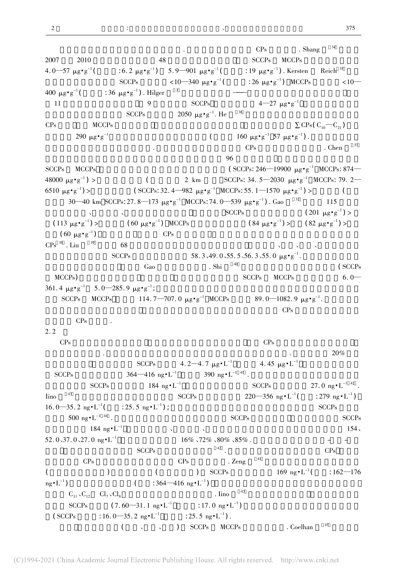2

 $CPs$  . Shang  $^{34}$ 2007 $2010$   $48$   $SCCPs$   $MCCPs$ 4. 0—57  $\mu$ g•g<sup>-1</sup> (  $\pm 6.2 \text{ }\mu\text{g} \cdot \text{g}^{-1}$ )  $5.9 - 901 \text{ }\mu\text{g} \cdot \text{g}^{-1}$  (  $\pm 19 \text{ }\mu\text{g} \cdot \text{g}^{-1}$ ). Kersten Reich  $^{35}$  $SCCPs$  <10—340  $\mu$ g·g<sup>-1</sup>( (  $\pm 26 \text{ }\mu\text{g} \cdot \text{g}^{-1}$ ) MCCPs <10-400  $\mu$ g $\cdot$ g<sup>-1</sup>  $($  : 36  $\mu$ g·g<sup>-1</sup>). Hilger <sup>3</sup> 11 $\frac{1}{1}$  9  $\frac{1}{1}$   $\frac{1}{2}$   $\frac{1}{2}$   $\frac{1}{2}$   $\frac{1}{2}$   $\frac{1}{2}$   $\frac{1}{2}$   $\frac{1}{2}$   $\frac{1}{2}$   $\frac{1}{2}$   $\frac{1}{2}$   $\frac{1}{2}$   $\frac{1}{2}$   $\frac{1}{2}$   $\frac{1}{2}$   $\frac{1}{2}$   $\frac{1}{2}$   $\frac{1}{2}$   $\frac{1}{2}$   $\frac{1}{2}$   $\frac{1}{2}$  $SCCPs$  2050  $\mu g \cdot g^{-1}$ .  $He$   $36$ CPs $\angle MCCPs$   $\sum$  CPs( C<sub>10</sub>—C<sub>21</sub>) 290  $\mu$ g·g<sup>-1</sup>  $($  160 μg·g<sup>-1</sup> 57 μg·g<sup>-1</sup>). ).  $\frac{1}{2}$  CPs chen  $\frac{37}{2}$  $96$ SCCPs MCCPs  $(SCCPs: 246 - 19900 \mu g \cdot g^{-1} MCCPs: 874 -$ 48000  $\mu$ g•g<sup>-1</sup>  $\int$  2 km SCCPs: 34. 5—2030  $\mu$ g·g<sup>-1</sup> MCCPs: 79. 2—  $6510 \mu g \cdot g^{-1}$  $(SCCPs: 32. 4-982 \mu g \cdot g^{-1} MCCPs: 55. 1-1570 \mu g \cdot g^{-1}) >$  $\overline{\phantom{a}}$ 30—40 km SCCPs: 27. 8—173  $\mu$ g·g<sup>-1</sup> MCCPs: 74. 0—539  $\mu$ g·g<sup>-1</sup>). Gao <sup>32</sup> 115  $\text{SCCPs}$  ( 201  $\mu \text{g} \cdot \text{g}^{-1}$  $(201 \ \mu g \cdot g^{-1})$  $(113 \mu g \cdot g^{-1})$  $(60 \mu g \cdot g^{-1})$  MCCPs SCCPs  $(84 \text{ }\mu\text{g} \cdot \text{g}^{-1})$  > ) >  $(82 \text{ }\mu\text{g} \cdot \text{g}^{-1})$  >  $(60 \mu g \cdot g^{-1})$ ) ,总体而言 住宅中 CPs 水平较高 可能是装修中一些塑料制品以及油漆中含有  $CPs$   $38$  . Liu  $39$  $\frac{38}{10}$  . Liu  $\frac{39}{10}$  68  $\frac{68}{10}$  $SCCPs$  58. 3、49. 0、55. 5、56. 3、55. 0  $\mu$ g·g<sup>-1</sup>. **,**  $Ga$ o  $Shi$ <sup>40</sup> ( SCCPs</sub>)  $MCCPs$ )  $SCCPs$   $MCCPs$   $6.0$ 361.4  $\mu$ g·g<sup>-1</sup> 5.0—285.9  $\mu$ g·g<sup>-1</sup> ;  $\frac{1}{\sqrt{2}}$  ,  $\frac{1}{\sqrt{2}}$  ,  $\frac{1}{\sqrt{2}}$  ,  $\frac{1}{\sqrt{2}}$  ,  $\frac{1}{\sqrt{2}}$  ,  $\frac{1}{\sqrt{2}}$  ,  $\frac{1}{\sqrt{2}}$  ,  $\frac{1}{\sqrt{2}}$  ,  $\frac{1}{\sqrt{2}}$  ,  $\frac{1}{\sqrt{2}}$  ,  $\frac{1}{\sqrt{2}}$  ,  $\frac{1}{\sqrt{2}}$  ,  $\frac{1}{\sqrt{2}}$  ,  $\frac{1}{\sqrt{2}}$  ,  $\frac{1}{\sqrt{$  $SCCPs$  MCCPs  $114. 7 - 707. 0 \mu g \cdot g^{-1}$  MCCPs 89.0–1082.9  $\mu$ g · g<sup>-1</sup>.  $\mathcal{L}_{\text{max}}$  $CPs$ CP<sub>s</sub> 2. 2 CPs $\text{CPs}$  $\sim$  20%  $\sim$ SCCPs 4. 2—4. 7  $\mu$ g·L<sup>-1</sup> 4. 45  $\mu$ g·L<sup>-1</sup> SCCPs $364-416$  ng·L<sup>-1</sup>  $390$  ng·L<sup>-1 41</sup>.  $SCCPs$  184 ng·L<sup>-1</sup> SCCPs 27. 0 ng·L<sup>-1 42</sup>. Iino43 SCCPs  $SCCPs$   $220-356$  ng·L<sup>-1</sup>(  $($  : 279 ng  $\cdot L^{-1})$  $16.0 - 35.2$  ng $\cdot L^{-1}$  $: 25.5 \text{ ng} \cdot \text{L}^{-1}$ ); ) ; SCCPs  $\overline{\phantom{a}}$  $500 \text{ ng} \cdot \text{L}^{-1}$  44 . SCCPs SCCPs SCCPs  $100 \text{ kg} \cdot \text{kg}^{-1}$  $184 \text{ ng} \cdot \text{L}^{-1}$  (154 mg) 52.0,37.0,27.0 ng $\cdot L^{-1}$  <sup>0</sup>、37. <sup>0</sup>、27. <sup>0</sup> ng·L-1 处理效率依次达到 16% 、72% 、80% 、85% . 二级处理过程包括厌氧-缺氧-好氧  $SCCPs$   $42$  .  $CPs$  $CPs$  CPs  $CPs$   $CPs$  $($  )  $)$   $($  ) SCCPs  $169 \text{ ng} \cdot \text{L}^{-1}$  $169 \text{ ng} \cdot L^{-1}$  (  $162-176$  $\frac{1}{\text{ng} \cdot L^{-1}}$  $\left($  : 364—416 ng•L<sup>-1</sup>) ) , and hence  $\Gamma$  $C_{11}$ ,  $C_{12}$   $C_{17}$ ,  $C_{18}$   $C_{18}$   $C_{19}$   $C_{10}$   $C_{11}$  $C_{11}$ ,  $C_{12}$   $C_{17}$ ,  $C_{18}$  . Iino  $C_{18}$ <br>SCCPs  $(7.60 - 31.1 \text{ ng} \cdot \text{L}^{-1}$  : 17. 0 ng  $\cdot \text{L}^{-1})$ ) and  $\lambda$  $(SCCPs$  : 16. 0—35. 2 ng•L<sup>-1</sup>  $: 25.5 \text{ ng} \cdot \text{L}^{-1}$ ).  $($ , , ) SCCPs MCCPs . Coelhan  $^{45}$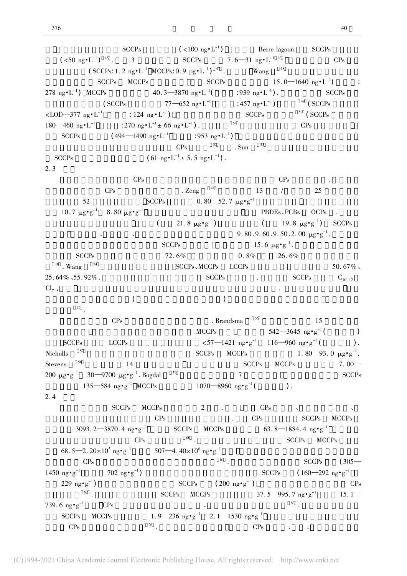```
SCCPs (<100 \text{ ng} \cdot \text{L}^{-1}) Berre lagoon SCCPs(<50 \text{ ng} \cdot \text{L}^{-1}) ^{46} . 3
                                     SCCPs 7. 6—31 ng•L<sup>-1 43</sup> CPs
(SCCPs: 1.2 \text{ ng} \cdot \text{L}^{-1} \text{ MCCPs: } 0.9 \text{ pg} \cdot \text{L}^{-1})^{-47} . Wang ^{48}SCCPs MCCPs SCCPs 15.0-1640 \text{ ng} \cdot \text{L}^{-1} :
278 ng•L^{-1}) MCCPs 40.3 - 3870 \text{ ng} \cdot \text{L}^{-1} ( 1939 \text{ ng} \cdot \text{L}^{-1}). SCCPs(SCCPs 77-652 \text{ ng} \cdot \text{L}^{-1} : 457 ng\cdot \text{L}^{-1})
                                                                      49 ( SCCPs
<LOD—377 ng•L<sup>-1</sup> : 124 ng•L<sup>-1</sup>
                                                        SCCPs 50 \text{ (SCCPs)}180-460 \text{ ng} \cdot \text{L}^{-1} : 270 ng \text{L}^{-1} \pm 66 \text{ ng} \cdot \text{L}^{-1}) . 51 CPs
    SCCPs (494-1490 \text{ ng} \cdot \text{L}^{-1} : 953 ng·L<sup>-1</sup>)
                                                    ) , and hence \GammaCPs 52 SDuSCCPss (61 \text{ ng} \cdot \text{L}^{-1} \pm 5.5 \text{ ng} \cdot \text{L}^{-1}).
2.3CPs CPs CPsCPs . Zeng ^{41} 13 / 25
          52 SCCPs 0.80 - 52.7 \mu g \cdot g^{-1}10.7 \, \mu\text{g} \cdot \text{g}^{-1} 8.80 \mu\text{g} \cdot \text{g}^{-1} PBDEs, PCBs OCPs
                               (21.8 \text{ }\mu\text{g} \cdot \text{g}^{-1})( 19. 8 \mug·g<sup>-1</sup>)
                                                                                 ) SCCPs
9.80, 9.60, 9.50, 2.00 \mu\text{g} \cdot \text{g}^{-1}. 初沉污泥
SCCPs 15. 6 \mu g \cdot g^{-1}.
                                                                       质量流分析表明脱水
SCCPs 72. 6% 0. 8% 26.6\%10 .SCCPs, MCCPs LCCPs 50.67\%25.64\%, 55.92%.
  64% 55.92\%.<br>SCCPs SCCPs SCCPs C<sub>10-12</sub>
\text{Cl}_{7-8}(\hspace{2em}55 .
    CPs . Brandsma ^{56} 15
                                          MCCPs 542-3645 \text{ ng} \cdot \text{g}^{-1}\rightarrowSCCPs LCCPs \langle 57-1421 \text{ ng} \cdot \text{g}^{-1} \quad 116-960 \text{ ng} \cdot \text{g}^{-1} \langle \rangle.
NichollsSCCPs MCCPs 1.80-93.0 \mu g \cdot g^{-1}.
Stevens <sup>58</sup>
     5^{\text{ss}} and 14 set 5^{\text{sc}} 14 set 5^{\text{sc}} 7.00-200 \mug·g<sup>-1</sup> 30—9700 \mug·g<sup>-1</sup>. Bogdal <sup>59</sup> 7 SCCPs
          135-584 ng·g<sup>-1</sup> MCCPs
                                        1070 - 8960 ng \cdot g<sup>-1</sup>( ).
2.4SCCPs MCCPs 2 . CPs \setminusCPs cps CPs CPs SCCPs MCCPs3093. 2 - 3870. 4 \text{ ng} \cdot \text{g}^{-1} SCCPs MCCPs 63. 8—1884. 4 ng·g<sup>-1</sup> CPs SCCP<sub>s</sub> MCC
CPs 60 . \text{SCCPs} MCCPs68.5 - 2.20 \times 10^5 ng\cdotg<sup>-1</sup>
                              507—4. 40\times10^{6} ng•g<sup>-1</sup>
\text{CPs} \text{CPs} \text{CPs} \text{CCS} \text{CPs} \text{CCS} \text{CSP}_\text{S} \text{CSP}_\text{S} \text{CSP}_\text{S} \text{CSP}_\text{S} \text{CSP}_\text{S} \text{CSP}_\text{S} \text{CSP}_\text{S} \text{CSP}_\text{S} \text{CSP}_\text{S} \text{CSP}_\text{S} \text{CSP}_\text{S} \text{CSP}_\text{S}1450 ng•g<sup>-1</sup> 702 ng•g<sup>-1</sup>
                 702 \text{ ng} \cdot \text{g}^{-1}) SCCPs (160 - 292 \text{ ng} \cdot \text{g}^{-1})229 ng\frac{1}{62} (2)
                                     SCCPs ( 200 ng·g<sup>-1</sup>)
                                                          ) and \overline{CPs}\frac{62}{62} . SCCPs MCCPs \frac{800}{37.5} -995. 7 ng·g<sup>-1</sup> 15. 1
739.6 ng•g^{-1}CPs \qquad \qquad \qquad \qquad \qquad \qquad \qquad \qquad \qquad \qquad \qquad \qquad \qquad \qquad \qquad \qquad \qquad \qquad \qquad \qquad \qquad \qquad \qquad \qquad \qquad \qquad \qquad \qquad \qquad \qquad \qquad \qquad \qquad \qquad \qquad \qquad \qquad \qquad \qquad \qquad \qquad \qquad \qquad \qquad \qquad \qquad \qquad \qquad \q6 \text{ ng} \cdot \text{g}^{-1} CPs <br>SCCPs MCCPs 1.9-236 \text{ ng} \cdot \text{g}^{-1} 2.1-1530 \text{ ng} \cdot \text{g}^{-1} ^{63}.
CPs 26 . 26 . CPs .
```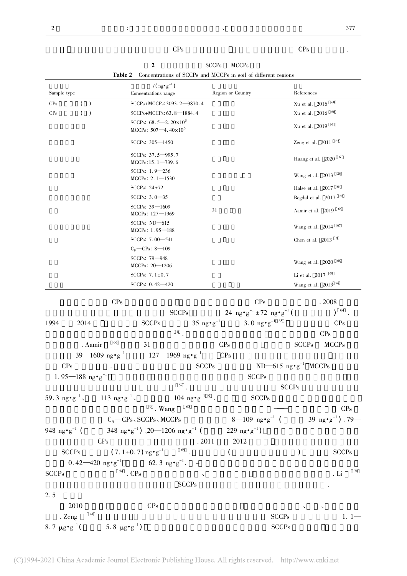# $CPs$  cps that  $CPs$

|                                                                               | SCCP <sub>s</sub> MCCP <sub>s</sub> |                   |            |
|-------------------------------------------------------------------------------|-------------------------------------|-------------------|------------|
| <b>Table 2</b> Concentrations of SCCPs and MCCPs in soil of different regions |                                     |                   |            |
| $/(\text{ng} \cdot \text{g}^{-1})$<br>Concentrations range                    |                                     | Region or Country | References |

| Sample type                      |                                                  | Concentrations range                                                                   |                                     | Region or Country                                                           | References                                |                                     |
|----------------------------------|--------------------------------------------------|----------------------------------------------------------------------------------------|-------------------------------------|-----------------------------------------------------------------------------|-------------------------------------------|-------------------------------------|
| CP <sub>s</sub>                  | $\rightarrow$<br>(                               | SCCPs+MCCPs: 3093.2-3870.4                                                             |                                     |                                                                             | Xu et al. 2016                            | 60                                  |
| CP <sub>s</sub>                  | (<br>$\rightarrow$                               | SCCPs+MCCPs: 63.8-1884.4                                                               |                                     |                                                                             | Xu et al. 2016                            | 60                                  |
|                                  |                                                  | SCCPs: $68.5 - 2.20 \times 10^5$<br>MCCPs: $507 - 4.40 \times 10^6$                    |                                     |                                                                             | Xu et al. 2019 <sup>61</sup>              |                                     |
|                                  |                                                  | SCCPs: 305-1450                                                                        |                                     |                                                                             | Zeng et al. $2011$ $62$                   |                                     |
|                                  |                                                  | SCCPs: $37.5 - 995.7$<br>$MCCPs: 15.1 - 739.6$                                         |                                     |                                                                             | Huang et al. 2020 63                      |                                     |
|                                  |                                                  | SCCPs: $1.9 - 236$<br>MCCPs: $2.1 - 1530$                                              |                                     |                                                                             | Wang et al. $2013^{26}$                   |                                     |
|                                  |                                                  | SCCPs: $24\pm72$                                                                       |                                     |                                                                             | Halse et al. 2017 <sup>64</sup>           |                                     |
|                                  |                                                  | SCCPs: 3.0-35                                                                          |                                     |                                                                             | Bogdal et al. 2017 65                     |                                     |
|                                  |                                                  | SCCPs: $39 - 1609$<br>MCCPs: $127 - 1969$                                              | 31                                  |                                                                             | Aamir et al. 2019 66                      |                                     |
|                                  |                                                  | SCCPs: $ND-615$<br>MCCPs: $1.95 - 188$                                                 |                                     |                                                                             | Wang et al. 2014 67                       |                                     |
|                                  |                                                  | SCCPs: 7.00-541                                                                        |                                     |                                                                             | Chen et al. $2013$ $9$                    |                                     |
|                                  |                                                  | $C_9$ - CPs: 8 - 109                                                                   |                                     |                                                                             |                                           |                                     |
|                                  |                                                  | SCCPs: 79-948<br>$MCCPs: 20 - 1206$                                                    |                                     |                                                                             | Wang et al. 2020 68                       |                                     |
|                                  |                                                  | SCCPs: $7.1 \pm 0.7$                                                                   |                                     |                                                                             | Li et al. $2017$ <sup>69</sup>            |                                     |
|                                  |                                                  | SCCPs: $0.42 - 420$                                                                    |                                     |                                                                             | Wang et al. 2013 <sup>54</sup>            |                                     |
|                                  | CPs                                              |                                                                                        |                                     | CPs                                                                         |                                           | .2008                               |
|                                  |                                                  | <b>SCCPs</b>                                                                           |                                     | $24 \text{ ng} \cdot \text{g}^{-1} \pm 72 \text{ ng} \cdot \text{g}^{-1}$ ( |                                           | 64<br>$\mathcal{L}$                 |
| 1994                             | 2014                                             | <b>SCCPs</b>                                                                           | $35 \text{ ng} \cdot \text{g}^{-1}$ | 3.0 ng $\cdot$ g <sup>-1 65</sup>                                           |                                           | CPs                                 |
|                                  |                                                  | 6                                                                                      |                                     |                                                                             |                                           | CPs                                 |
|                                  | 66<br>. Aamir                                    | 31                                                                                     | CPs                                 |                                                                             | <b>SCCPs</b>                              | <b>MCCPs</b>                        |
|                                  | 39—1609 ng•g <sup>-1</sup>                       | $127 - 1969$ ng $\cdot$ g <sup>-1</sup>                                                | CPs                                 |                                                                             |                                           |                                     |
|                                  |                                                  |                                                                                        |                                     |                                                                             |                                           |                                     |
| CPs                              |                                                  |                                                                                        | <b>SCCPs</b>                        |                                                                             | $ND-615$ ng $\cdot$ g <sup>-1</sup> MCCPs |                                     |
|                                  | $1.95 - 188$ ng $\cdot$ g <sup>-1</sup>          | 67                                                                                     |                                     | <b>SCCPs</b>                                                                |                                           |                                     |
|                                  |                                                  |                                                                                        |                                     |                                                                             | <b>SCCPs</b>                              |                                     |
|                                  | 59.3 $ng \cdot g^{-1}$ , 113 $ng \cdot g^{-1}$ , | $104 \text{ ng} \cdot \text{g}^{-1}$ $^9$ .                                            |                                     | <b>SCCPs</b>                                                                |                                           |                                     |
|                                  |                                                  | $9$ . Wang                                                                             |                                     |                                                                             |                                           | CPs                                 |
|                                  |                                                  | $C_9$ - CPs, SCCPs, MCCPs                                                              |                                     | $8-109$ ng $\cdot$ g <sup>-1</sup> (                                        |                                           | 39 ng•g <sup>-1</sup> ) $\sqrt{79}$ |
| 948 ng $\cdot$ g <sup>-1</sup> ( | CP <sub>s</sub>                                  | 348 ng•g <sup>-1</sup> ) $\sqrt{20-1206}$ ng•g <sup>-1</sup> (229 ng•g <sup>-1</sup> ) | .2011                               | 2012                                                                        |                                           |                                     |
|                                  | <b>SCCPs</b>                                     | $(7.1 \pm 0.7)$ ng $\cdot$ g <sup>-169</sup> .                                         | $\left($                            |                                                                             |                                           | <b>SCCPs</b>                        |
|                                  |                                                  |                                                                                        |                                     |                                                                             | $\mathcal{C}$                             |                                     |
|                                  |                                                  | 0.42 – 420 $ng \cdot g^{-1}$ 62.3 $ng \cdot g^{-1}$ . –                                |                                     |                                                                             |                                           | 70                                  |
| <b>SCCPs</b>                     |                                                  | $^{\scriptscriptstyle\rm 54}$ . CPs                                                    |                                     |                                                                             |                                           | . Li                                |
| 2.5                              |                                                  | <b>SCCPs</b>                                                                           |                                     |                                                                             |                                           |                                     |
|                                  | 2010                                             | $\rm CPs$                                                                              |                                     |                                                                             |                                           |                                     |
|                                  | 41<br>. $\mathrm{Zeng}$                          |                                                                                        |                                     | <b>SCCPs</b>                                                                |                                           | $1.1-$                              |
| 8.7 $\mu$ g • g <sup>-1</sup> (  |                                                  | 5.8 $\mu$ g $\cdot$ g <sup>-1</sup> )                                                  |                                     | <b>SCCPs</b>                                                                |                                           |                                     |
|                                  |                                                  |                                                                                        |                                     |                                                                             |                                           |                                     |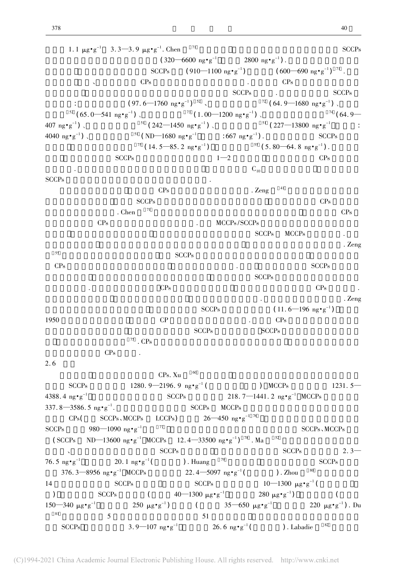1. 1  $\mu$ g·g<sup>-1</sup> 3. 3—3. 9  $\mu$ g·g<sup>-1</sup>. Chen<sup>71</sup> SCCPs  $(320-6600 \text{ ng} \cdot \text{g}^{-1})$  2800 ng·g<sup>-1</sup>).  $\big)$  .  $SCCPs$  (910—1100 ng•g<sup>-1</sup>) )  $(600-690 \text{ ng} \cdot \text{g}^{-1})$   $^{71}$  .  $CPs$  CPs  $CPs$  $SCCPs$  .  $SCCPs$ :  $(97.6 - 1760 \text{ ng} \cdot \text{g}^{-1})^{52}$ ) <sup>52</sup> 、 <sup>72</sup> ( 64. 9—1680 ng•g<sup>-1</sup>) 、  $52 (65.0 - 541 \text{ ng} \cdot \text{g}^{-1})$  (1.00 - 1200 ng $\text{g} \cdot \text{g}^{-1}$ )  $^{74}$  ( 64. 9— 407 ng• $g^{-1}$  $51$  ( 242—1450  $ng \cdot g^{-1}$  ).  $^{51}$  ( 227—13800 ng·g<sup>-1</sup> : 4040 ng•g<sup>-1</sup>  $51$  (ND—1680 ng•g<sup>-1</sup> : 667 ng•g<sup>-1</sup>).  $SCCPs$  $\frac{75}{14}$ ,  $\frac{14.5 - 85.2 \text{ ng} \cdot \text{g}^{-1}}{2}$ )  $55 (5.80-64.8 \text{ ng} \cdot \text{g}^{-1})$ .  $SCCPs$   $1-2$   $CPs$  $C_{10}$ SCCPs $\mathbf s$  $CPs$  . Zeng  $^{41}$  $SCCPs$   $CPs$ . Chen  $\frac{71}{2}$  $CPs$  . MCCPs/SCCPs  $SCCPs$   $MCCPs$   $MCCPs$ 随着深度的增加 两地柱芯沉积物中低氯代的同系物含量增加 表明沉积后有脱氯现象的发生. Zeng 55 $SCCPs$ CPs $\rm s$  $SCCPs$  $\text{CPs}$  and  $\text{CPs}$  and  $\text{CPs}$  and  $\text{CPs}$  and  $\text{CPs}$  and  $\text{CPs}$  and  $\text{CPs}$  and  $\text{CPs}$  and  $\text{CPs}$  and  $\text{CPs}$  and  $\text{CPs}$  and  $\text{CPs}$  and  $\text{CPs}$  and  $\text{CPs}$  and  $\text{CPs}$  and  $\text{CPs}$  and  $\text{CPs}$  and  $\blacksquare$  $SCCPs$  ( 11. 6—196 ng•g<sup>-1</sup>) 1950 $\mathbb{C}P$  and  $\mathbb{C}P$  and  $\mathbb{C}P$  and  $\mathbb{C}P$  and  $\mathbb{C}P$  and  $\mathbb{C}P$  and  $\mathbb{C}P$  and  $\mathbb{C}P$  and  $\mathbb{C}P$  and  $\mathbb{C}P$  and  $\mathbb{C}P$  and  $\mathbb{C}P$  and  $\mathbb{C}P$  and  $\mathbb{C}P$  and  $\mathbb{C}P$  and  $\mathbb{C}P$  a  $SCCPs$   $SCCPs$  $\frac{75}{10}$  . CPs CPs constants constants of  $CPs$  $2.6$  $CPs. Xu$  60 SCCPs 1280. 9—2196. 9  $ng \cdot g^{-1}$  ( ) MCCPs 1231. 5— 4388.4 ng $\cdot$ g<sup>-1</sup>  $SCCPs$  218. 7—1441. 2 ng•g<sup>-1</sup> MCCPs 337. 8—3586. 5 ng•g<sup>-1</sup>. SCCPs MCCPs  $MCCP<sub>S</sub>$  $CPs$ ( SCCPs, MCCPs LCCPs)  $26-450$  ng·g<sup>-1 76</sup> SCCPs980—1090 ng•g<sup>-1</sup>  $77$  SCCPs, MCCPs ( SCCPs ND—13600 ng·g<sup>-1</sup> MCCPs 12. 4—33500 ng·g<sup>-1</sup>)<sup>78</sup>. Ma <sup>52</sup>  $SCCPs$   $SCCPs$   $2.3-$ 76.5  $ng \cdot g^{-1}$  20. 1  $ng \cdot g^{-1}$  $20.1 \text{ ng} \cdot \text{g}^{-1}$  ( ). Huang  $79$  SCCPs  $376.3 - 8956$  ng·g<sup>-1</sup> MCCPs 22. 4 - 5097 ng·g<sup>-1</sup> (  $)$ . Zhou  $80$ 14 $SCCPs$   $SCCPs$   $10-1300 \mu g \cdot g^{-1}$  ( )  $SCCPs$   $(40-1300 \mu g \cdot g^{-1} 280 \mu g \cdot g^{-1})$  $\overline{\phantom{a}}$  $150 - 240$  $250 \mu g \cdot g^{-1}$ )  $(35-650 \text{ μg} \cdot \text{g}^{-1})$  220 μg·g<sup>-1</sup>). Du 81 $\frac{1}{1}$  5  $\frac{1}{2}$  5  $\frac{1}{2}$  5  $\frac{1}{2}$  5  $\frac{1}{2}$  5  $\frac{1}{2}$  5  $\frac{1}{2}$  5  $\frac{1}{2}$  5  $\frac{1}{2}$  5  $\frac{1}{2}$  5  $\frac{1}{2}$  5  $\frac{1}{2}$  5  $\frac{1}{2}$  5  $\frac{1}{2}$  5  $\frac{1}{2}$  5  $\frac{1}{2}$  5  $\frac{1}{2}$  5  $\frac{1}{2}$  5  $\frac{1$ SCCPs  $3.9 - 107 \text{ ng} \cdot \text{g}^{-1}$   $26.6 \text{ ng} \cdot \text{g}^{-1}$  $)$ . Labadie  $82$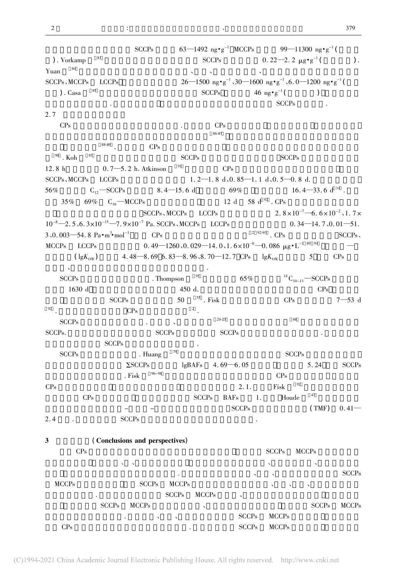2

|                                                                                    | <b>SCCPs</b>                                                                                                  |                                     |                          | 63—1492 ng•g <sup>-1</sup> MCCPs 99—11300 ng•g <sup>-1</sup> (                        |                           |                           |
|------------------------------------------------------------------------------------|---------------------------------------------------------------------------------------------------------------|-------------------------------------|--------------------------|---------------------------------------------------------------------------------------|---------------------------|---------------------------|
| 83<br>). Vorkamp                                                                   |                                                                                                               |                                     |                          | SCCPs 0.22-2.2 $\mu$ g <sup>•</sup> g <sup>-1</sup> (                                 |                           | ).                        |
| Yuan $84$                                                                          |                                                                                                               |                                     |                          |                                                                                       |                           |                           |
| SCCPs, MCCPs LCCPs                                                                 |                                                                                                               |                                     |                          | 26—1500 ng•g <sup>-1</sup> ,30—1600 ng•g <sup>-1</sup> ,6.0—1200 ng•g <sup>-1</sup> ( |                           |                           |
| 85<br>$).$ Casa                                                                    |                                                                                                               | <b>SCCPs</b>                        |                          | 46 $ng \cdot g^{-1}$ (                                                                | $\lambda$                 |                           |
|                                                                                    |                                                                                                               |                                     |                          | <b>SCCPs</b>                                                                          |                           |                           |
| 2.7                                                                                |                                                                                                               |                                     |                          |                                                                                       |                           |                           |
| CP <sub>s</sub>                                                                    |                                                                                                               |                                     | CP <sub>s</sub>          |                                                                                       |                           |                           |
|                                                                                    |                                                                                                               |                                     | 86-87                    |                                                                                       |                           |                           |
| 88-89                                                                              | CPs                                                                                                           |                                     |                          |                                                                                       |                           |                           |
| 87<br>$^{90}$ . Koh                                                                |                                                                                                               | <b>SCCPs</b>                        |                          | <b>SCCPs</b>                                                                          |                           |                           |
| 12.8 h $0.7 - 5.2$ h. Atkinson                                                     |                                                                                                               | 91                                  | CPs                      |                                                                                       |                           |                           |
| SCCPs、MCCPs LCCPs                                                                  |                                                                                                               |                                     |                          | $1.2-1.8$ d, 0.85 $-1.1$ d, 0.5 $-0.8$ d.                                             |                           |                           |
| 56% $C_{12}$ SCCPs 8.4 - 15.6 d 69% 16.4 - 33.6 d <sup>14</sup> .                  |                                                                                                               |                                     |                          |                                                                                       |                           |                           |
| 35% 69% $C_{16}$ —MCCPs                                                            |                                                                                                               |                                     | 12 d 58 d $^{92}$ . CPs  |                                                                                       |                           |                           |
|                                                                                    |                                                                                                               |                                     |                          | SCCPs, MCCPs LCCPs 2.8×10 <sup>-7</sup> -6.6×10 <sup>-2</sup> ,1.7×                   |                           |                           |
| $10^{-8}$ -2.5, 6.3×10 <sup>-15</sup> -7.9×10 <sup>-7</sup> Pa. SCCPs, MCCPs LCCPs |                                                                                                               |                                     |                          |                                                                                       |                           | $0.34 - 14.7, 0.01 - 51.$ |
| $3,0.003 - 54.8 \text{ Pa} \cdot \text{m}^3 \cdot \text{mol}^{-1}$ CPs             |                                                                                                               |                                     |                          | $292-93$ . CPs                                                                        |                           | SCCPs                     |
| MCCPs LCCPs                                                                        | 0. 49—1260 \, 0. 029—14. 0 \, 1 . $6 \times 10^{-6}$ —0. 086 $\mu$ g $\cdot$ L <sup>-1 89</sup> <sup>94</sup> |                                     |                          |                                                                                       |                           |                           |
| $\left(\right. \lg K_{\text{ow}}\right)$                                           | 4.48 $-8.69$ 6.83 $-8.96$ , 8.70 $-12.7$ CPs $lgK_{ow}$                                                       |                                     |                          |                                                                                       | 5                         | CP <sub>s</sub>           |
|                                                                                    |                                                                                                               |                                     |                          |                                                                                       |                           |                           |
| <b>SCCPs</b>                                                                       | . Thompson                                                                                                    | 95                                  | 65%                      |                                                                                       | ${}^{14}C_{10-13}$ -SCCPs |                           |
| 1630 d                                                                             |                                                                                                               | 450 d.                              |                          |                                                                                       | CPs                       |                           |
| <b>SCCPs</b>                                                                       |                                                                                                               | $50$ $^{\scriptstyle\rm 55}$ . Fisk |                          | CP <sub>s</sub>                                                                       |                           | $7 - 53$ d                |
| 92                                                                                 | $\rm CPs$                                                                                                     | $\frac{2}{1}$                       |                          |                                                                                       |                           |                           |
| <b>SCCPs</b>                                                                       |                                                                                                               |                                     | $24 - 25$                | 68                                                                                    |                           |                           |
| SCCPs.                                                                             | <b>SCCPs</b>                                                                                                  |                                     | <b>SCCPs</b>             |                                                                                       |                           |                           |
| <b>SCCPs</b>                                                                       |                                                                                                               |                                     |                          |                                                                                       |                           |                           |
| <b>SCCPs</b>                                                                       | . Huang                                                                                                       | 79                                  |                          | <b>SCCPs</b>                                                                          |                           |                           |
|                                                                                    | $\Sigma$ SCCPs                                                                                                |                                     | lgBAFs $4.69 - 6.05$     |                                                                                       | 5.24                      | <b>SCCPs</b>              |
|                                                                                    | $96 - 98$<br>. Fisk                                                                                           |                                     |                          | CP <sub>s</sub>                                                                       |                           |                           |
| CPs                                                                                |                                                                                                               |                                     | 2.1.                     | 92<br>Fisk                                                                            |                           |                           |
| $\rm CPs$                                                                          |                                                                                                               | <b>SCCPs</b>                        | <b>BAFs</b>              | Houde<br>1.                                                                           | 47                        |                           |
|                                                                                    |                                                                                                               |                                     | <b>SCCPs</b>             |                                                                                       | (TMF)                     | $0.41 -$                  |
| 2.4                                                                                | <b>SCCPs</b>                                                                                                  |                                     |                          |                                                                                       |                           |                           |
|                                                                                    |                                                                                                               |                                     |                          |                                                                                       |                           |                           |
| 3                                                                                  | (Conclusions and perspectives)                                                                                |                                     |                          |                                                                                       |                           |                           |
| CPs                                                                                |                                                                                                               |                                     |                          | <b>SCCPs</b>                                                                          | <b>MCCPs</b>              |                           |
| $\checkmark$                                                                       | $\lambda$                                                                                                     |                                     |                          | $\checkmark$                                                                          |                           |                           |
|                                                                                    |                                                                                                               | $\bullet$                           |                          |                                                                                       |                           | <b>SCCPs</b>              |
| <b>MCCPs</b>                                                                       | <b>SCCPs</b>                                                                                                  | <b>MCCPs</b>                        |                          |                                                                                       |                           |                           |
|                                                                                    |                                                                                                               | <b>SCCPs</b><br><b>MCCPs</b>        | $\overline{\phantom{0}}$ |                                                                                       |                           |                           |
| <b>SCCPs</b>                                                                       | <b>MCCPs</b>                                                                                                  | $\overline{\phantom{a}}$            |                          |                                                                                       | <b>SCCPs</b>              | <b>MCCPs</b>              |
|                                                                                    | $\blacktriangledown$                                                                                          | $\boldsymbol{\checkmark}$           | <b>SCCPs</b>             | <b>MCCPs</b>                                                                          |                           |                           |
| CPs                                                                                |                                                                                                               |                                     | <b>SCCPs</b>             | <b>MCCPs</b>                                                                          |                           |                           |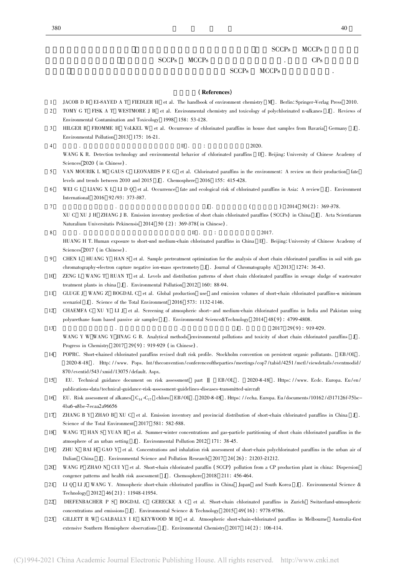# $SCCPs$  MCCPs

# $SCCPs$  MCCPs . CPs

# $SCCPs$  MCCPs  $\cdot$

### (References)

- 1JACOB <sup>D</sup> <sup>B</sup> EI-SAYED <sup>A</sup> <sup>T</sup> FIEDLER <sup>H</sup> et al. The handbook of environment chemistry <sup>M</sup> . Berlin: Springer-Verlag Press 2010.
- $\mathfrak{D}$  TOMY G T FISK A T WESTMORE J B et al. Environmental chemistry and toxicology of polychlorinated n-alkanes J . Reviews of Environmental Contamination and Toxicology <sup>1998</sup> <sup>158</sup>: 53-128.
- 3HILGER B FROMME H VöLKEL W et al. Occurrence of chlorinated paraffins in house dust samples from Bavaria Germany J. Environmental Pollution <sup>2013</sup> <sup>175</sup>: 16-21.
- 4 $\frac{1}{2020}$ .  $\frac{1}{2020}$ .  $\frac{1}{2020}$ . WANG K R. Detection technology and environmental behavior of chlorinated paraffins D . Beijing: University of Chinese Academy of Sciences <sup>2020</sup> ( in Chinese) .
- 5 VAN MOURIK <sup>L</sup> <sup>M</sup> GAUS <sup>C</sup> LEONARDS <sup>P</sup> <sup>E</sup> <sup>G</sup> et al. Chlorinated paraffins in the environment: <sup>A</sup> review on their production fate levels and trends between <sup>2010</sup> and <sup>2015</sup> <sup>J</sup> . Chemosphere <sup>2016</sup> <sup>155</sup>: 415-428.
- 6WEI G L LIANG X L LI D Q et al. Occurrence fate and ecological risk of chlorinated paraffins in Asia: A review J. Environment International <sup>2016</sup> <sup>92</sup> /93: 373-387.
- 7 $J$  . ( ) 2014 50(2) : 369-378. XU C XU <sup>J</sup> <sup>H</sup> ZHANG <sup>J</sup> B. Emission inventory prediction of short chain chlorinated paraffins ( SCCPs) in China <sup>J</sup> . Acta Scientiarum Naturalium Universitatis Pekinensis 2014 50 (2): 369-378 (in Chinese).
- 8 $\rm B$  .  $\rm D$  .  $\rm H$  2017. HUANG H T. Human exposure to short-and medium-chain chlorinated paraffins in China D . Beijing: University of Chinese Academy of Sciences <sup>2017</sup> ( in Chinese) .
- 9 CHEN L HUANG Y HAN S et al. Sample pretreatment optimization for the analysis of short chain chlorinated paraffins in soil with gas chromatography-electron capture negative ion-mass spectrometry J . Journal of Chromatography <sup>A</sup> <sup>2013</sup> <sup>1274</sup>: 36-43.
- 10 ZENG L WANG T RUAN T et al. Levels and distribution patterns of short chain chlorinated paraffins in sewage sludge of wastewater treatment plants in china J . Environmental Pollution <sup>2012</sup> <sup>160</sup>: 88-94.
- 11 GLUGE J WANG Z BOGDAL C et al. Global production use and emission volumes of short-chain chlorinated paraffins-a minimum scenariol J. Science of the Total Environment 2016 573: 1132-1146.
- 12 CHAEMFA C XU Y LI J et al. Screening of atmospheric short- and medium-chain chlorinated paraffins in India and Pakistan using polyurethane foam based passive air sampler J . Environmental Science&Technology <sup>2014</sup> <sup>48</sup>( <sup>9</sup>) : 4799-4808.
- 13 $J$  . 2017 29(9): 919-929. WANG Y W WANG Y JINAG G B. Analytical methods environmental pollutions and toxicity of short chain chlorinated paraffins J. Progress in Chemistry 2017 29(9): 919-929 (in Chinese).
- 14 POPRC. Short-chained chlorinated paraffins revised draft risk profile. Stockholm convention on persistent organic pollutants. EB/OL . 2020-8-18 . Http: / /www. Pops. Int /theconvention /conferenceoftheparties/meetings/cop7 /tabid /4251 /mctl /viewdetails/eventmodid / 870 /eventid /543 /xmid /13075 /default. Aspx.
- 15 EU. Technical guidance document on risk assessment part <sup>Ⅱ</sup> EB /OL . 2020-8-18 . Https: / /www. Ecdc. Europa. Eu /en / publications-data /technical-guidance-risk-assessment-guidelines-diseases-transmitted-aircraft
- 16EU. Risk assessment of alkanes  $C_{14} - C_{17}$  chloro EB/OL . 2020-8-18 . Https://echa. Europa. Eu/documents/10162/d317126f-75bc-4ba6-a8be-7ecaa2a96656
- 17 ZHANG B Y ZHAO B XU C et al. Emission inventory and provincial distribution of short-chain chlorinated paraffins in China J . Science of the Total Environment 2017 581: 582-588.
- 18WANG T HAN S YUAN B et al. Summer-winter concentrations and gas-particle partitioning of short chain chlorinated paraffins in the atmosphere of an urban setting <sup>J</sup> . Environmental Pollution <sup>2012</sup> <sup>171</sup>: 38-45.
- 19 ZHU X BAI H GAO Y et al. Concentrations and inhalation risk assessment of short-chain polychlorinated paraffins in the urban air of Dalian China <sup>J</sup> . Environmental Science and Pollution Research <sup>2017</sup> <sup>24</sup>( <sup>26</sup>) : 21203-21212.
- 20WANG P ZHAO N CUI Y et al. Short-chain chlorinated paraffin (SCCP) pollution from a CP production plant in china: Dispersion congener patterns and health risk assessment <sup>J</sup> . Chemosphere <sup>2018</sup> <sup>211</sup>: 456-464.
- 21 LI Q LI J WANG Y. Atmospheric short-chain chlorinated paraffins in China Japan and South Korea J . Environmental Science & Technology 2012 <sup>46</sup>( <sup>21</sup>) : 11948-11954.
- 22 DIEFENBACHER P S BOGDAL C GERECKE A C et al. Short-chain chlorinated paraffins in Zurich Switzerland-atmospheric concentrations and emissions <sup>J</sup> . Environmental Science & Technology <sup>2015</sup> <sup>49</sup>( <sup>16</sup>) : 9778-9786.
- 23 GILLETT R W GALBALLY I E KEYWOOD M D et al. Atmospheric short-chain-chlorinated paraffins in Melbourne Australia-first extensive Southern Hemisphere observations J . Environmental Chemistry 2017 14(2): 106-114.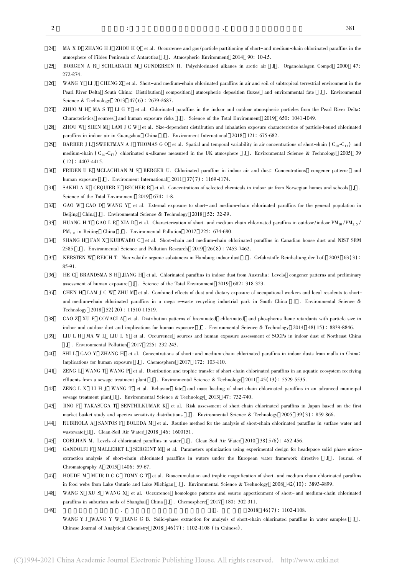49

- 24 MA X D ZHANG H J ZHOU H Q et al. Occurrence and gas/particle partitioning of short-and medium-chain chlorinated paraffins in the atmosphere of Fildes Peninsula of Antarctica J . Atmospheric Environment <sup>2014</sup> <sup>90</sup>: 10-15.
- $25$  BORGEN <sup>A</sup> <sup>R</sup> SCHLABACH <sup>M</sup> GUNDERSEN H. Polychlorinated alkanes in arctic air <sup>J</sup> . Organohalogen Compd <sup>2000</sup> <sup>47</sup>: 272-274.
- 26 WANG Y LI J CHENG Z et al. Short-and medium-chain chlorinated paraffins in air and soil of subtropical terrestrial environment in the Pearl River Delta South China: Distribution composition atmospheric deposition fluxes and environmental fate <sup>J</sup> . Environmental Science & Technology 2013 47(6): 2679-2687.
- 27 ZHUO <sup>M</sup> <sup>H</sup> MA <sup>S</sup> <sup>T</sup> LI <sup>G</sup> <sup>Y</sup> et al. Chlorinated paraffins in the indoor and outdoor atmospheric particles from the Pearl River Delta: Characteristics sources and human exposure risks <sup>J</sup> . Science of the Total Environment <sup>2019</sup> <sup>650</sup>: 1041-1049.
- 28 ZHOU W SHEN M LAM J C W et al. Size-dependent distribution and inhalation exposure characteristics of particle-bound chlorinated paraffins in indoor air in Guangzhou China <sup>J</sup> . Environment International <sup>2018</sup> <sup>121</sup>: 675-682.
- 29BARBER J L SWEETMAN A J THOMAS G O et al. Spatial and temporal variability in air concentrations of short-chain  $(C_{10} - C_{13})$  and medium-chain  $(C_{14}-C_{17})$  chlorinated n-alkanes measured in the UK atmosphere J. Environmental Science & Technology 2005 39  $(12): 4407 - 4415.$
- 30 FRIDEN <sup>U</sup> <sup>E</sup> MCLACHLAN <sup>M</sup> <sup>S</sup> BERGER U. Chlorinated paraffins in indoor air and dust: Concentrations congener patterns and human exposure J. Environment International 2011 37(7): 1169-1174.
- 31 SAKHI A K CEQUIER E BECHER R et al. Concentrations of selected chemicals in indoor air from Norwegian homes and schools J . Science of the Total Environment 2019 674: 1-8.
- 32 GAO W CAO D WANG Y et al. External exposure to short- and medium-chain chlorinated paraffins for the general population in Beijing China <sup>J</sup> . Environmental Science & Technology <sup>2018</sup> <sup>52</sup>: 32-39.
- 33HUANG H T GAO L R XIA D et al. Characterization of short-and medium-chain chlorinated paraffins in outdoor/indoor PM<sub>10</sub>/PM<sub>2.5</sub>/  $PM_{1.0}$  in Beijing China J. Environmental Pollution 2017 225: 674-680.
- 34 SHANG H FAN X KUBWABO C et al. Short-chain and medium-chain chlorinated paraffins in Canadian house dust and NIST SRM 2585 J . Environmental Science and Pollution Research 2019 26(8): 7453-7462.
- 35 KERSTEN <sup>W</sup> REICH T. Non-volatile organic substances in Hamburg indoor dust <sup>J</sup> . Gefahrstoffe Reinhaltung der Luft <sup>2003</sup> <sup>63</sup>( <sup>3</sup>) : 85-91.
- 36 HE <sup>C</sup> BRANDSMA <sup>S</sup> <sup>H</sup> JIANG <sup>H</sup> et al. Chlorinated paraffins in indoor dust from Australia: Levels congener patterns and preliminary assessment of human exposure <sup>J</sup> . Science of the Total Environment <sup>2019</sup> <sup>682</sup>: 318-323.
- 37 CHEN H LAM J C W ZHU M et al. Combined effects of dust and dietary exposure of occupational workers and local residents to shortand medium-chain chlorinated paraffins in a mega e-waste recycling industrial park in South China J . Environmental Science & Technology <sup>2018</sup> <sup>52</sup>( <sup>20</sup>) : 11510-11519.
- 38 CAO Z XU F COVACI A et al. Distribution patterns of brominated chlorinated and phosphorus flame retardants with particle size in indoor and outdoor dust and implications for human exposure <sup>J</sup> . Environmental Science & Technology <sup>2014</sup> <sup>48</sup>( <sup>15</sup>) : 8839-8846.
- 39 LIU L H MA W L LIU L Y et al. Occurrence sources and human exposure assessment of SCCPs in indoor dust of Northeast China J . Environmental Pollution <sup>2017</sup> <sup>225</sup>: 232-243.
- 40 SHI <sup>L</sup> GAO <sup>Y</sup> ZHANG <sup>H</sup> et al. Concentrations of short-and medium-chain chlorinated paraffins in indoor dusts from malls in China: Implications for human exposure <sup>J</sup> . Chemosphere <sup>2017</sup> <sup>172</sup>: 103-110.
- 41 ZENG L WANG T WANG P et al. Distribution and trophic transfer of short-chain chlorinated paraffins in an aquatic ecosystem receiving effluents from <sup>a</sup> sewage treatment plant <sup>J</sup> . Environmental Science & Technology <sup>2011</sup> <sup>45</sup>( <sup>13</sup>) : 5529-5535.
- 42 ZENG L X LI H J WANG T et al. Behavior fate and mass loading of short chain chlorinated paraffins in an advanced municipal sewage treatment plant <sup>J</sup> . Environmental Science & Technology <sup>2013</sup> <sup>47</sup>: 732-740.
- 43 IINO F TAKASUGA T SENTHILKUMAR K et al. Risk assessment of short-chain chlorinated paraffins in Japan based on the first market basket study and species sensitivity distributions J. Environmental Science & Technology 2005 39(3): 859-866.
- 44 RUBIROLA A SANTOS F BOLEDA M et al. Routine method for the analysis of short-chain chlorinated paraffins in surface water and wastewater <sup>J</sup> . Clean-Soil Air Water <sup>2018</sup> <sup>46</sup>: 1600151.
- 45COELHAN M. Levels of chlorinated paraffins in water J. Clean-Soil Air Water 2010 38(5/6): 452-456.
- 46 GANDOLFI F MALLERET L SERGENT M et al. Parameters optimization using experimental design for headspace solid phase microextraction analysis of short-chain chlorinated paraffins in waters under the European water framework directive J . Journal of Chromatography <sup>A</sup> <sup>2015</sup> <sup>1406</sup>: 59-67.
- 47 HOUDE M MUIR D C G TOMY G T et al. Bioaccumulation and trophic magnification of short-and medium-chain chlorinated paraffins in food webs from Lake Ontario and Lake Michigan <sup>J</sup> . Environmental Science & Technology <sup>2008</sup> <sup>42</sup>( <sup>10</sup>) : 3893-3899.
- 48WANG X XU S WANG X et al. Occurrence homologue patterns and source apportionment of short- and medium-chain chlorinated paraffins in suburban soils of Shanghai China <sup>J</sup> . Chemosphere <sup>2017</sup> <sup>180</sup>: 302-311.
	- $J$ . 2018 46(7): 1102-1108.

WANG Y J WANG Y W JIANG G B. Solid-phase extraction for analysis of short-chain chlorinated paraffins in water samples J . Chinese Journal of Analytical Chemistry  $2018 \quad 46(7)$ : 1102-1108 (in Chinese).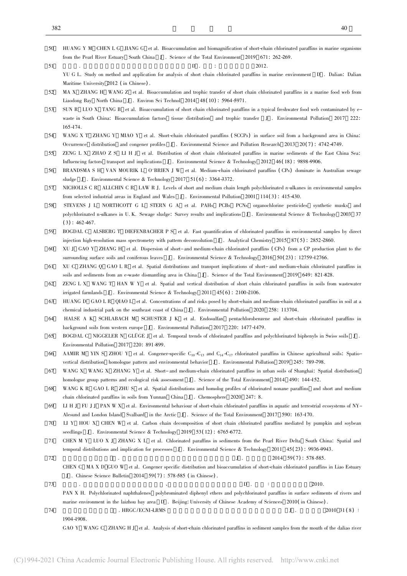- 50 HUANG Y M CHEN L G JIANG G et al. Bioaccumulation and biomagnification of short-chain chlorinated paraffins in marine organisms from the Pearl River Estuary South China <sup>J</sup> . Science of the Total Environment <sup>2019</sup> <sup>671</sup>: 262-269.
	- $\Box$  1 .  $\Box$  2012.
	- YU G L. Study on method and application for analysis of short chain chlorinated paraffins in marine environment D . Dalian: Dalian Maritime University <sup>2012</sup> ( in Chinese) .
- 52 MA X ZHANG H WANG Z et al. Bioaccumulation and trophic transfer of short chain chlorinated paraffins in a marine food web from Liaodong Bay North China <sup>J</sup> . Environ Sci Technol <sup>2014</sup> <sup>48</sup>( <sup>10</sup>) : 5964-5971.
- 53 SUN R LUO X TANG B et al. Bioaccumulation of short chain chlorinated paraffins in a typical freshwater food web contaminated by ewaste in South China: Bioaccumulation factors tissue distribution and trophic transfer <sup>J</sup> . Environmental Pollution <sup>2017</sup> <sup>222</sup>:  $165 - 174.$
- 54 WANG <sup>X</sup> <sup>T</sup> ZHANG <sup>Y</sup> MIAO <sup>Y</sup> et al. Short-chain chlorinated paraffins ( SCCPs) in surface soil from <sup>a</sup> background area in China: Occurrence distribution and congener profiles J. Environmental Science and Pollution Research 2013 20(7): 4742-4749.
- 55 ZENG <sup>L</sup> <sup>X</sup> ZHAO <sup>Z</sup> <sup>S</sup> LI <sup>H</sup> <sup>J</sup> et al. Distribution of short chain chlorinated paraffins in marine sediments of the East China Sea: Influencing factors transport and implications <sup>J</sup> . Environmental Science & Technology <sup>2012</sup> <sup>46</sup>( <sup>18</sup>) : 9898-9906.
- 56 BRANDSMA <sup>S</sup> <sup>H</sup> VAN MOURIK <sup>L</sup> O'BRIEN <sup>J</sup> <sup>W</sup> et al. Medium-chain chlorinated paraffins ( CPs) dominate in Australian sewage sludge J . Environmental Science & Technology 2017 51(6): 3364-3372.
- 57 NICHOLLS C R ALLCHIN C R LAW R J. Levels of short and medium chain length polychlorinated n-alkanes in environmental samples from selected industrial areas in England and Wales J . Environmental Pollution <sup>2001</sup> <sup>114</sup>( <sup>3</sup>) : 415-430.
- 58 STEVENS J L NORTHCOTT G L STERN G A et al. PAHs PCBs PCNs organochlorine pesticides synthetic musks and polychlorinated n-alkanes in U. K. Sewage sludge: Survey results and implications <sup>J</sup> . Environmental Science & Technology <sup>2003</sup> <sup>37</sup>  $(3)$ : 462-467.
- 59 BOGDAL C ALSBERG T DIEFENBACHER P S et al. Fast quantification of chlorinated paraffins in environmental samples by direct injection high-resolution mass spectrometry with pattern deconvolution J. Analytical Chemistry 2015 87(5): 2852-2860.
- 60 XU <sup>J</sup> GAO <sup>Y</sup> ZHANG <sup>H</sup> et al. Dispersion of short-and medium-chain chlorinated paraffins ( CPs) from <sup>a</sup> CP production plant to the surrounding surface soils and coniferous leaves J . Environmental Science & Technology 2016 50(23): 12759-12766.
- 61 XU C ZHANG Q GAO L R et al. Spatial distributions and transport implications of short- and medium-chain chlorinated paraffins in soils and sediments from an e-waste dismantling area in China J . Science of the Total Environment <sup>2019</sup> <sup>649</sup>: 821-828.
- 62 ZENG L X WANG T HAN W Y et al. Spatial and vertical distribution of short chain chlorinated paraffins in soils from wastewater irrigated farmlands J . Environmental Science & Technology 2011  $45(6)$ : 2100-2106.
- 63 HUANG D GAO L R QIAO L et al. Concentrations of and risks posed by short-chain and medium-chain chlorinated paraffins in soil at a chemical industrial park on the southeast coast of China <sup>J</sup> . Environmental Pollution <sup>2020</sup> <sup>258</sup>: 113704.
- 64 HALSE A K SCHLABACH M SCHUSTER J K et al. Endosulfan pentachlorobenzene and short-chain chlorinated paraffins in background soils from western europe J . Environmental Pollution <sup>2017</sup> <sup>220</sup>: 1477-1479.
- 65BOGDAL C NIGGELER N GLÜGE J et al. Temporal trends of chlorinated paraffins and polychlorinated biphenyls in Swiss soils J. Environmental Pollution 2017 <sup>220</sup>: 891-899.
- 66AAMIR M YIN S ZHOU Y et al. Congener-specific  $C_{10} - C_{13}$  and  $C_{14} - C_{17}$  chlorinated paraffins in Chinese agricultural soils: Spatiovertical distribution homologue pattern and environmental behavior J. Environmental Pollution 2019 245: 789-798.
- 67 WANG <sup>X</sup> WANG <sup>X</sup> ZHANG <sup>Y</sup> et al. Short- and medium-chain chlorinated paraffins in urban soils of Shanghai: Spatial distribution homologue group patterns and ecological risk assessment <sup>J</sup> . Science of the Total Environment <sup>2014</sup> <sup>490</sup>: 144-152.
- 68WANG K R GAO L R ZHU S et al. Spatial distributions and homolog profiles of chlorinated nonane paraffins and short and medium chain chlorinated paraffins in soils from Yunnan China <sup>J</sup> . Chemosphere <sup>2020</sup> <sup>247</sup>: 8.
- 69 LI H J FU J J PAN W X et al. Environmental behaviour of short-chain chlorinated paraffins in aquatic and terrestrial ecosystems of NY-Alesund and London Island Svalbard in the Arctic <sup>J</sup> . Science of the Total Environment <sup>2017</sup> <sup>590</sup>: 163-170.
- 70 LI Y HOU X CHEN W et al. Carbon chain decomposition of short chain chlorinated paraffins mediated by pumpkin and soybean seedlings J . Environmental Science & Technology 2019 53(12): 6765-6772.
- 71 CHEN <sup>M</sup> <sup>Y</sup> LUO <sup>X</sup> <sup>J</sup> ZHANG <sup>X</sup> <sup>L</sup> et al. Chlorinated paraffins in sediments from the Pearl River Delta South China: Spatial and temporal distributions and implication for processes J. Environmental Science & Technology 2011 45(23): 9936-9943.
- 72 $J$  . 2014 59(7): 578-585. CHEN C MA X D GUO W et al. Congener specific distribution and bioaccumulation of short-chain chlorinated paraffins in Liao Estuary
- J . Chinese Science Bulletin <sup>2014</sup> <sup>59</sup>( <sup>7</sup>) : 578-585 ( in Chinese) .
- 73 $\overline{B}$  . The contract of the contract of the contract of the contract of the contract of the contract of the contract of the contract of the contract of the contract of the contract of the contract of the contract of th PAN X H. Polychlorinated naphthalenes polybrominated diphenyl ethers and polychlorinated paraffins in surface sediments of rivers and marine environment in the laizhou bay area D . Beijing: University of Chinese Academy of Sciences <sup>2010</sup>( in Chinese) .  $\frac{1}{2}$  . HRGC/ECNI-LRMS J . 2010 31 ( 8) ∶
- 74

1904-1908.

GAO Y WANG C ZHANG H J et al. Analysis of short-chain chlorinated paraffins in sediment samples from the mouth of the daliao river

51